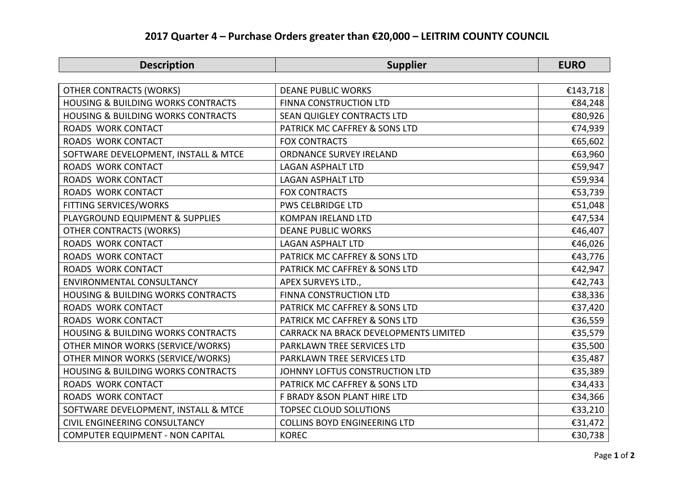## **2017 Quarter 4 – Purchase Orders greater than €20,000 – LEITRIM COUNTY COUNCIL**

| <b>Description</b>                            | <b>Supplier</b>                       | <b>EURO</b> |
|-----------------------------------------------|---------------------------------------|-------------|
|                                               |                                       |             |
| <b>OTHER CONTRACTS (WORKS)</b>                | <b>DEANE PUBLIC WORKS</b>             | €143,718    |
| <b>HOUSING &amp; BUILDING WORKS CONTRACTS</b> | FINNA CONSTRUCTION LTD                | €84,248     |
| <b>HOUSING &amp; BUILDING WORKS CONTRACTS</b> | SEAN QUIGLEY CONTRACTS LTD            | €80,926     |
| ROADS WORK CONTACT                            | PATRICK MC CAFFREY & SONS LTD         | €74,939     |
| <b>ROADS WORK CONTACT</b>                     | <b>FOX CONTRACTS</b>                  | €65,602     |
| SOFTWARE DEVELOPMENT, INSTALL & MTCE          | <b>ORDNANCE SURVEY IRELAND</b>        | €63,960     |
| <b>ROADS WORK CONTACT</b>                     | <b>LAGAN ASPHALT LTD</b>              | €59,947     |
| ROADS WORK CONTACT                            | <b>LAGAN ASPHALT LTD</b>              | €59,934     |
| <b>ROADS WORK CONTACT</b>                     | <b>FOX CONTRACTS</b>                  | €53,739     |
| <b>FITTING SERVICES/WORKS</b>                 | <b>PWS CELBRIDGE LTD</b>              | €51,048     |
| PLAYGROUND EQUIPMENT & SUPPLIES               | <b>KOMPAN IRELAND LTD</b>             | €47,534     |
| <b>OTHER CONTRACTS (WORKS)</b>                | <b>DEANE PUBLIC WORKS</b>             | €46,407     |
| ROADS WORK CONTACT                            | <b>LAGAN ASPHALT LTD</b>              | €46,026     |
| ROADS WORK CONTACT                            | PATRICK MC CAFFREY & SONS LTD         | €43,776     |
| ROADS WORK CONTACT                            | PATRICK MC CAFFREY & SONS LTD         | €42,947     |
| <b>ENVIRONMENTAL CONSULTANCY</b>              | APEX SURVEYS LTD.,                    | €42,743     |
| <b>HOUSING &amp; BUILDING WORKS CONTRACTS</b> | FINNA CONSTRUCTION LTD                | €38,336     |
| ROADS WORK CONTACT                            | PATRICK MC CAFFREY & SONS LTD         | €37,420     |
| ROADS WORK CONTACT                            | PATRICK MC CAFFREY & SONS LTD         | €36,559     |
| <b>HOUSING &amp; BUILDING WORKS CONTRACTS</b> | CARRACK NA BRACK DEVELOPMENTS LIMITED | €35,579     |
| OTHER MINOR WORKS (SERVICE/WORKS)             | PARKLAWN TREE SERVICES LTD            | €35,500     |
| OTHER MINOR WORKS (SERVICE/WORKS)             | PARKLAWN TREE SERVICES LTD            | €35,487     |
| <b>HOUSING &amp; BUILDING WORKS CONTRACTS</b> | JOHNNY LOFTUS CONSTRUCTION LTD        | €35,389     |
| ROADS WORK CONTACT                            | PATRICK MC CAFFREY & SONS LTD         | €34,433     |
| <b>ROADS WORK CONTACT</b>                     | F BRADY & SON PLANT HIRE LTD          | €34,366     |
| SOFTWARE DEVELOPMENT, INSTALL & MTCE          | <b>TOPSEC CLOUD SOLUTIONS</b>         | €33,210     |
| <b>CIVIL ENGINEERING CONSULTANCY</b>          | <b>COLLINS BOYD ENGINEERING LTD</b>   | €31,472     |
| COMPUTER EQUIPMENT - NON CAPITAL              | <b>KOREC</b>                          | €30,738     |